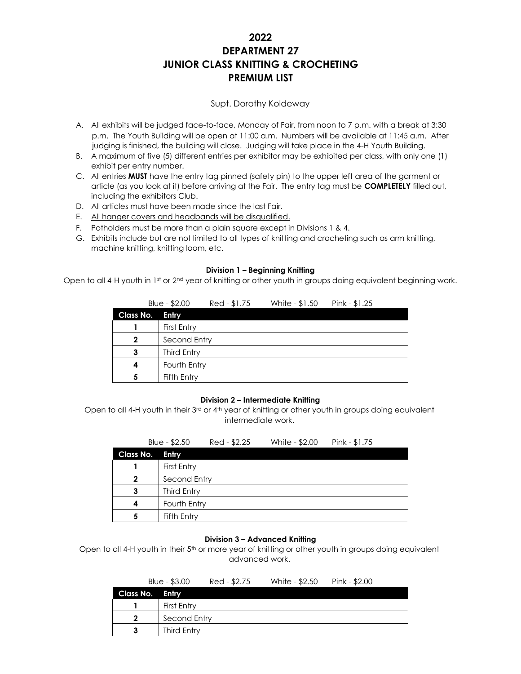# **2022 DEPARTMENT 27 JUNIOR CLASS KNITTING & CROCHETING PREMIUM LIST**

# Supt. Dorothy Koldeway

- A. All exhibits will be judged face-to-face, Monday of Fair, from noon to 7 p.m. with a break at 3:30 p.m. The Youth Building will be open at 11:00 a.m. Numbers will be available at 11:45 a.m. After judging is finished, the building will close. Judging will take place in the 4-H Youth Building.
- B. A maximum of five (5) different entries per exhibitor may be exhibited per class, with only one (1) exhibit per entry number.
- C. All entries **MUST** have the entry tag pinned (safety pin) to the upper left area of the garment or article (as you look at it) before arriving at the Fair. The entry tag must be **COMPLETELY** filled out, including the exhibitors Club.
- D. All articles must have been made since the last Fair.
- E. All hanger covers and headbands will be disqualified.
- F. Potholders must be more than a plain square except in Divisions 1 & 4.
- G. Exhibits include but are not limited to all types of knitting and crocheting such as arm knitting, machine knitting, knitting loom, etc.

#### **Division 1 – Beginning Knitting**

Open to all 4-H youth in 1st or 2<sup>nd</sup> year of knitting or other youth in groups doing equivalent beginning work.

|              | Blue - \$2.00 | Red - \$1.75 | White - \$1.50 | Pink - $$1.25$ |
|--------------|---------------|--------------|----------------|----------------|
| Class No.    | Entry         |              |                |                |
|              | First Entry   |              |                |                |
| $\mathbf{2}$ | Second Entry  |              |                |                |
|              | Third Entry   |              |                |                |
| 4            | Fourth Entry  |              |                |                |
| 5            | Fifth Entry   |              |                |                |

### **Division 2 – Intermediate Knitting**

Open to all 4-H youth in their 3<sup>rd</sup> or 4<sup>th</sup> year of knitting or other youth in groups doing equivalent intermediate work.

|                  | Blue - \$2.50 | Red - \$2.25 | White - \$2.00 | Pink - $$1.75$ |
|------------------|---------------|--------------|----------------|----------------|
| <b>Class No.</b> | Entry         |              |                |                |
|                  | First Entry   |              |                |                |
| $\mathbf{2}$     | Second Entry  |              |                |                |
| 3                | Third Entry   |              |                |                |
| 4                | Fourth Entry  |              |                |                |
| 5                | Fifth Entry   |              |                |                |

### **Division 3 – Advanced Knitting**

Open to all 4-H youth in their 5<sup>th</sup> or more year of knitting or other youth in groups doing equivalent advanced work.

|                 | Blue $-$ \$3.00 | Red - \$2.75 | White - \$2.50 | Pink - \$2.00 |
|-----------------|-----------------|--------------|----------------|---------------|
| Class No. Entry |                 |              |                |               |
|                 | First Entry     |              |                |               |
| $\mathbf{2}$    | Second Entry    |              |                |               |
|                 | Third Entry     |              |                |               |